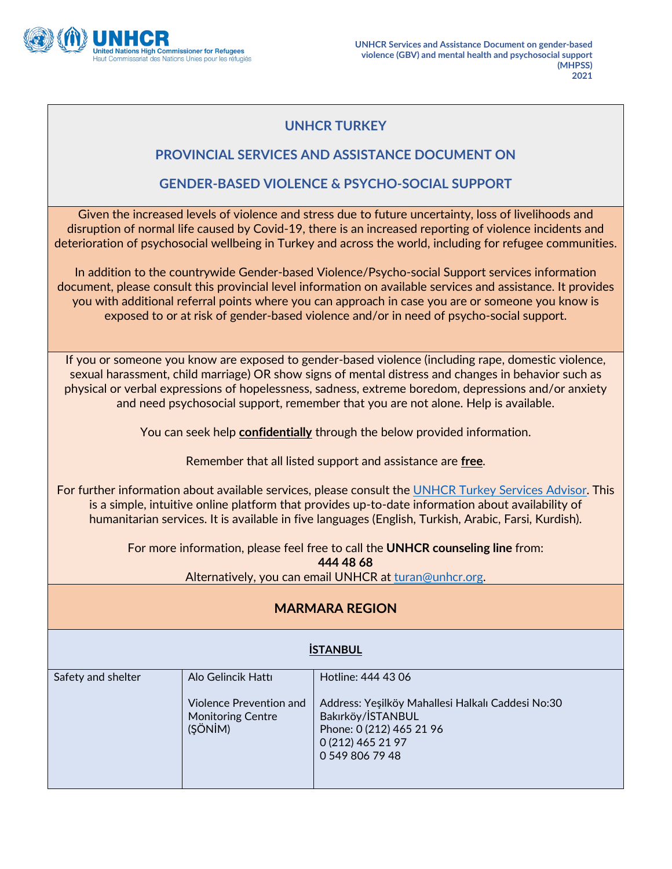

## **UNHCR TURKEY**

#### **PROVINCIAL SERVICES AND ASSISTANCE DOCUMENT ON**

#### **GENDER-BASED VIOLENCE & PSYCHO-SOCIAL SUPPORT**

Given the increased levels of violence and stress due to future uncertainty, loss of livelihoods and disruption of normal life caused by Covid-19, there is an increased reporting of violence incidents and deterioration of psychosocial wellbeing in Turkey and across the world, including for refugee communities.

In addition to the countrywide Gender-based Violence/Psycho-social Support services information document, please consult this provincial level information on available services and assistance. It provides you with additional referral points where you can approach in case you are or someone you know is exposed to or at risk of gender-based violence and/or in need of psycho-social support.

If you or someone you know are exposed to gender-based violence (including rape, domestic violence, sexual harassment, child marriage) OR show signs of mental distress and changes in behavior such as physical or verbal expressions of hopelessness, sadness, extreme boredom, depressions and/or anxiety and need psychosocial support, remember that you are not alone. Help is available.

You can seek help **confidentially** through the below provided information.

Remember that all listed support and assistance are **free**.

For further information about available services, please consult the UNHCR Turkey Services Advisor. This is a simple, intuitive online platform that provides up-to-date information about availability of humanitarian services. It is available in five languages (English, Turkish, Arabic, Farsi, Kurdish).

> For more information, please feel free to call the **UNHCR counseling line** from: **444 48 68**

Alternatively, you can email UNHCR at [turan@unhcr.org.](mailto:turan@unhcr.org)

### **MARMARA REGION**

# **İSTANBUL**

| Safety and shelter | Alo Gelincik Hattı                                             | Hotline: 444 43 06                                                                                                                         |
|--------------------|----------------------------------------------------------------|--------------------------------------------------------------------------------------------------------------------------------------------|
|                    | Violence Prevention and<br><b>Monitoring Centre</b><br>(ŞÖNİM) | Address: Yeşilköy Mahallesi Halkalı Caddesi No:30<br>Bakırköy/İSTANBUL<br>Phone: 0 (212) 465 21 96<br>0 (212) 465 21 97<br>0 549 806 79 48 |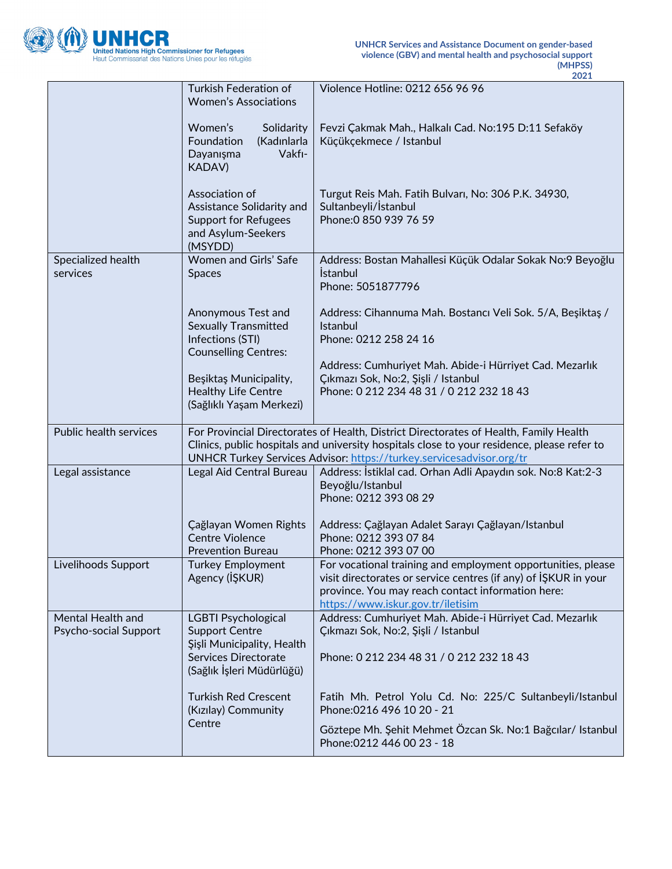

|                                            | Turkish Federation of<br><b>Women's Associations</b>                                                        | Violence Hotline: 0212 656 96 96                                                                                                                                                                                                                             |
|--------------------------------------------|-------------------------------------------------------------------------------------------------------------|--------------------------------------------------------------------------------------------------------------------------------------------------------------------------------------------------------------------------------------------------------------|
|                                            | Women's<br>Solidarity<br>Foundation<br>(Kadınlarla<br>Vakfı-<br>Dayanışma<br><b>KADAV)</b>                  | Fevzi Çakmak Mah., Halkalı Cad. No:195 D:11 Sefaköy<br>Küçükçekmece / Istanbul                                                                                                                                                                               |
|                                            | Association of<br>Assistance Solidarity and<br><b>Support for Refugees</b><br>and Asylum-Seekers<br>(MSYDD) | Turgut Reis Mah. Fatih Bulvarı, No: 306 P.K. 34930,<br>Sultanbeyli/İstanbul<br>Phone: 0 850 939 76 59                                                                                                                                                        |
| Specialized health<br>services             | Women and Girls' Safe<br><b>Spaces</b>                                                                      | Address: Bostan Mahallesi Küçük Odalar Sokak No:9 Beyoğlu<br><i>stanbul</i><br>Phone: 5051877796                                                                                                                                                             |
|                                            | Anonymous Test and<br><b>Sexually Transmitted</b><br>Infections (STI)<br><b>Counselling Centres:</b>        | Address: Cihannuma Mah. Bostancı Veli Sok. 5/A, Beşiktaş /<br>Istanbul<br>Phone: 0212 258 24 16                                                                                                                                                              |
|                                            | Beşiktaş Municipality,<br><b>Healthy Life Centre</b><br>(Sağlıklı Yaşam Merkezi)                            | Address: Cumhuriyet Mah. Abide-i Hürriyet Cad. Mezarlık<br>Çıkmazı Sok, No:2, Şişli / Istanbul<br>Phone: 0 212 234 48 31 / 0 212 232 18 43                                                                                                                   |
| Public health services                     |                                                                                                             | For Provincial Directorates of Health, District Directorates of Health, Family Health<br>Clinics, public hospitals and university hospitals close to your residence, please refer to<br>UNHCR Turkey Services Advisor: https://turkey.servicesadvisor.org/tr |
| Legal assistance                           | Legal Aid Central Bureau                                                                                    | Address: İstiklal cad. Orhan Adli Apaydın sok. No:8 Kat:2-3<br>Beyoğlu/Istanbul<br>Phone: 0212 393 08 29                                                                                                                                                     |
|                                            | Çağlayan Women Rights<br><b>Centre Violence</b><br><b>Prevention Bureau</b>                                 | Address: Çağlayan Adalet Sarayı Çağlayan/Istanbul<br>Phone: 0212 393 07 84<br>Phone: 0212 393 07 00                                                                                                                                                          |
| Livelihoods Support                        | <b>Turkey Employment</b><br>Agency (IŞKUR)                                                                  | For vocational training and employment opportunities, please<br>visit directorates or service centres (if any) of ISKUR in your<br>province. You may reach contact information here:<br>https://www.iskur.gov.tr/iletisim                                    |
| Mental Health and<br>Psycho-social Support | <b>LGBTI Psychological</b><br><b>Support Centre</b><br>Şişli Municipality, Health                           | Address: Cumhuriyet Mah. Abide-i Hürriyet Cad. Mezarlık<br>Çıkmazı Sok, No:2, Şişli / Istanbul                                                                                                                                                               |
|                                            | <b>Services Directorate</b><br>(Sağlık İşleri Müdürlüğü)                                                    | Phone: 0 212 234 48 31 / 0 212 232 18 43                                                                                                                                                                                                                     |
|                                            | <b>Turkish Red Crescent</b><br>(Kızılay) Community                                                          | Fatih Mh. Petrol Yolu Cd. No: 225/C Sultanbeyli/Istanbul<br>Phone: 0216 496 10 20 - 21                                                                                                                                                                       |
|                                            | Centre                                                                                                      | Göztepe Mh. Şehit Mehmet Özcan Sk. No:1 Bağcılar/ Istanbul                                                                                                                                                                                                   |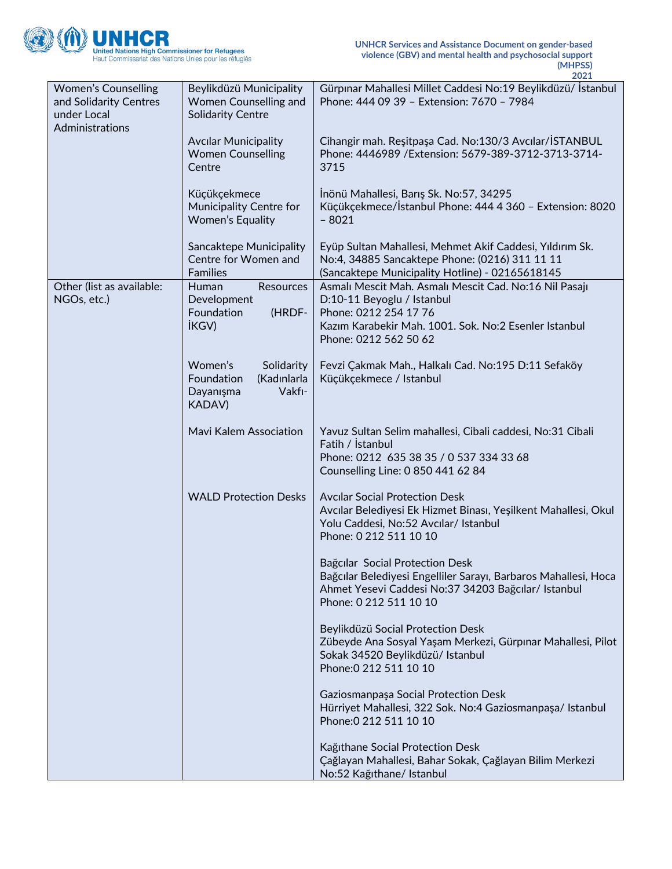

|                                                                                        |                                                                                            | 2021                                                                                                                                                                                            |
|----------------------------------------------------------------------------------------|--------------------------------------------------------------------------------------------|-------------------------------------------------------------------------------------------------------------------------------------------------------------------------------------------------|
| <b>Women's Counselling</b><br>and Solidarity Centres<br>under Local<br>Administrations | Beylikdüzü Municipality<br>Women Counselling and<br><b>Solidarity Centre</b>               | Gürpınar Mahallesi Millet Caddesi No:19 Beylikdüzü/ İstanbul<br>Phone: 444 09 39 - Extension: 7670 - 7984                                                                                       |
|                                                                                        | <b>Avcilar Municipality</b><br><b>Women Counselling</b><br>Centre                          | Cihangir mah. Reşitpaşa Cad. No:130/3 Avcılar/İSTANBUL<br>Phone: 4446989 / Extension: 5679-389-3712-3713-3714-<br>3715                                                                          |
|                                                                                        | Küçükçekmece<br>Municipality Centre for<br><b>Women's Equality</b>                         | İnönü Mahallesi, Barış Sk. No:57, 34295<br>Küçükçekmece/İstanbul Phone: 444 4 360 - Extension: 8020<br>$-8021$                                                                                  |
|                                                                                        | Sancaktepe Municipality<br>Centre for Women and<br><b>Families</b>                         | Eyüp Sultan Mahallesi, Mehmet Akif Caddesi, Yıldırım Sk.<br>No:4, 34885 Sancaktepe Phone: (0216) 311 11 11<br>(Sancaktepe Municipality Hotline) - 02165618145                                   |
| Other (list as available:<br>NGOs, etc.)                                               | <b>Human</b><br><b>Resources</b><br>Development<br>(HRDF-<br>Foundation<br><b>IKGV</b> )   | Asmalı Mescit Mah. Asmalı Mescit Cad. No:16 Nil Pasajı<br>D:10-11 Beyoglu / Istanbul<br>Phone: 0212 254 17 76<br>Kazım Karabekir Mah. 1001. Sok. No:2 Esenler Istanbul<br>Phone: 0212 562 50 62 |
|                                                                                        | Women's<br>Solidarity<br>(Kadınlarla<br>Foundation<br>Vakfi-<br>Dayanışma<br><b>KADAV)</b> | Fevzi Çakmak Mah., Halkalı Cad. No:195 D:11 Sefaköy<br>Küçükçekmece / Istanbul                                                                                                                  |
|                                                                                        | <b>Mavi Kalem Association</b>                                                              | Yavuz Sultan Selim mahallesi, Cibali caddesi, No:31 Cibali<br>Fatih / İstanbul<br>Phone: 0212 635 38 35 / 0 537 334 33 68<br>Counselling Line: 0 850 441 62 84                                  |
|                                                                                        | <b>WALD Protection Desks</b>                                                               | <b>Avcilar Social Protection Desk</b><br>Avcılar Belediyesi Ek Hizmet Binası, Yeşilkent Mahallesi, Okul<br>Yolu Caddesi, No:52 Avcılar/ Istanbul<br>Phone: 0 212 511 10 10                      |
|                                                                                        |                                                                                            | Bağcılar Social Protection Desk<br>Bağcılar Belediyesi Engelliler Sarayı, Barbaros Mahallesi, Hoca<br>Ahmet Yesevi Caddesi No:37 34203 Bağcılar/ Istanbul<br>Phone: 0 212 511 10 10             |
|                                                                                        |                                                                                            | Beylikdüzü Social Protection Desk<br>Zübeyde Ana Sosyal Yaşam Merkezi, Gürpınar Mahallesi, Pilot<br>Sokak 34520 Beylikdüzü/ Istanbul<br>Phone: 0 212 511 10 10                                  |
|                                                                                        |                                                                                            | Gaziosmanpaşa Social Protection Desk<br>Hürriyet Mahallesi, 322 Sok. No:4 Gaziosmanpaşa/ Istanbul<br>Phone: 0 212 511 10 10                                                                     |
|                                                                                        |                                                                                            | Kağıthane Social Protection Desk<br>Çağlayan Mahallesi, Bahar Sokak, Çağlayan Bilim Merkezi<br>No:52 Kağıthane/ Istanbul                                                                        |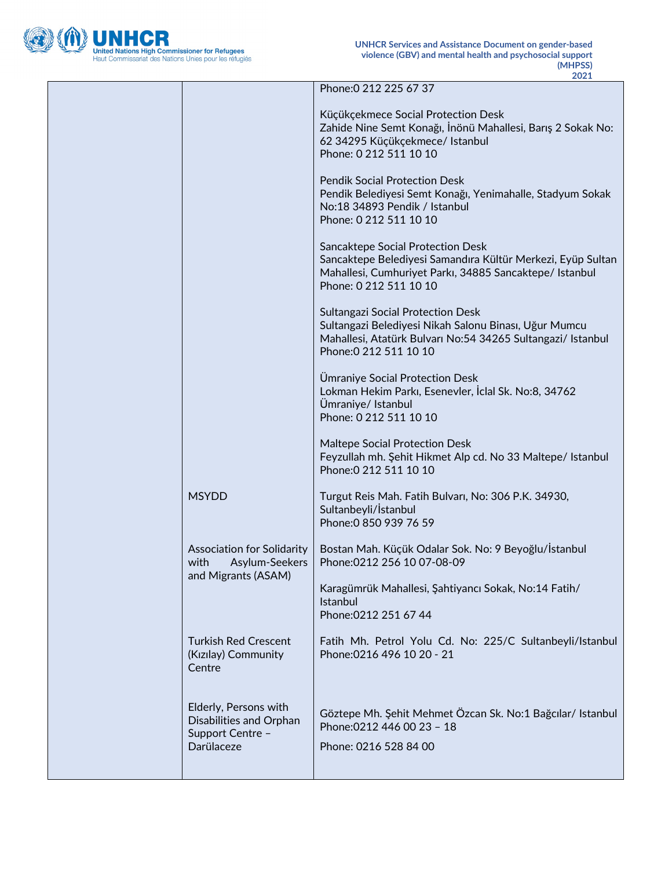

|                                                                                    | Phone: 0 212 225 67 37                                                                                                                                                                     |
|------------------------------------------------------------------------------------|--------------------------------------------------------------------------------------------------------------------------------------------------------------------------------------------|
|                                                                                    | Küçükçekmece Social Protection Desk<br>Zahide Nine Semt Konağı, İnönü Mahallesi, Barış 2 Sokak No:<br>62 34295 Küçükçekmece/ Istanbul<br>Phone: 0 212 511 10 10                            |
|                                                                                    | <b>Pendik Social Protection Desk</b><br>Pendik Belediyesi Semt Konağı, Yenimahalle, Stadyum Sokak<br>No:18 34893 Pendik / Istanbul<br>Phone: 0 212 511 10 10                               |
|                                                                                    | Sancaktepe Social Protection Desk<br>Sancaktepe Belediyesi Samandıra Kültür Merkezi, Eyüp Sultan<br>Mahallesi, Cumhuriyet Parkı, 34885 Sancaktepe/ Istanbul<br>Phone: 0 212 511 10 10      |
|                                                                                    | <b>Sultangazi Social Protection Desk</b><br>Sultangazi Belediyesi Nikah Salonu Binası, Uğur Mumcu<br>Mahallesi, Atatürk Bulvarı No:54 34265 Sultangazi/ Istanbul<br>Phone: 0 212 511 10 10 |
|                                                                                    | Ümraniye Social Protection Desk<br>Lokman Hekim Parkı, Esenevler, İclal Sk. No:8, 34762<br>Ümraniye/ Istanbul<br>Phone: 0 212 511 10 10                                                    |
|                                                                                    | Maltepe Social Protection Desk<br>Feyzullah mh. Şehit Hikmet Alp cd. No 33 Maltepe/ Istanbul<br>Phone: 0 212 511 10 10                                                                     |
| <b>MSYDD</b>                                                                       | Turgut Reis Mah. Fatih Bulvarı, No: 306 P.K. 34930,<br>Sultanbeyli/İstanbul<br>Phone: 0 850 939 76 59                                                                                      |
| Association for Solidarity<br>Asylum-Seekers<br>with<br>and Migrants (ASAM)        | Bostan Mah. Küçük Odalar Sok. No: 9 Beyoğlu/İstanbul<br>Phone: 0212 256 10 07-08-09                                                                                                        |
|                                                                                    | Karagümrük Mahallesi, Şahtiyancı Sokak, No:14 Fatih/<br>Istanbul<br>Phone: 0212 251 67 44                                                                                                  |
| <b>Turkish Red Crescent</b><br>(Kızılay) Community<br>Centre                       | Fatih Mh. Petrol Yolu Cd. No: 225/C Sultanbeyli/Istanbul<br>Phone: 0216 496 10 20 - 21                                                                                                     |
| Elderly, Persons with<br>Disabilities and Orphan<br>Support Centre -<br>Darülaceze | Göztepe Mh. Şehit Mehmet Özcan Sk. No:1 Bağcılar/ Istanbul<br>Phone: 0212 446 00 23 - 18<br>Phone: 0216 528 84 00                                                                          |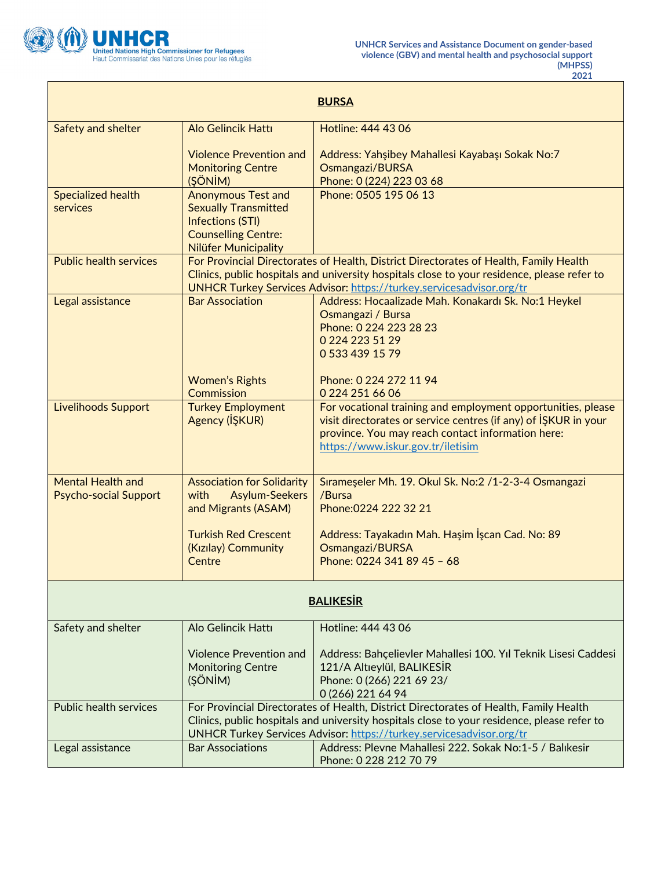

Г

| <b>BURSA</b>                  |                                                                                                                                                                     |                                                                                                                                    |  |
|-------------------------------|---------------------------------------------------------------------------------------------------------------------------------------------------------------------|------------------------------------------------------------------------------------------------------------------------------------|--|
| Safety and shelter            | <b>Alo Gelincik Hattı</b>                                                                                                                                           | Hotline: 444 43 06                                                                                                                 |  |
|                               | <b>Violence Prevention and</b>                                                                                                                                      | Address: Yahşibey Mahallesi Kayabaşı Sokak No:7                                                                                    |  |
|                               | <b>Monitoring Centre</b><br>(ŞÖNİM)                                                                                                                                 | Osmangazi/BURSA<br>Phone: 0 (224) 223 03 68                                                                                        |  |
| <b>Specialized health</b>     | <b>Anonymous Test and</b>                                                                                                                                           | Phone: 0505 195 06 13                                                                                                              |  |
| services                      | <b>Sexually Transmitted</b><br><b>Infections (STI)</b>                                                                                                              |                                                                                                                                    |  |
|                               | <b>Counselling Centre:</b>                                                                                                                                          |                                                                                                                                    |  |
| <b>Public health services</b> | Nilüfer Municipality                                                                                                                                                | For Provincial Directorates of Health, District Directorates of Health, Family Health                                              |  |
|                               |                                                                                                                                                                     | Clinics, public hospitals and university hospitals close to your residence, please refer to                                        |  |
| Legal assistance              | <b>Bar Association</b>                                                                                                                                              | <b>UNHCR Turkey Services Advisor: https://turkey.servicesadvisor.org/tr</b><br>Address: Hocaalizade Mah. Konakardı Sk. No:1 Heykel |  |
|                               |                                                                                                                                                                     | Osmangazi / Bursa                                                                                                                  |  |
|                               |                                                                                                                                                                     | Phone: 0 224 223 28 23                                                                                                             |  |
|                               |                                                                                                                                                                     | 0 224 223 51 29<br>0 533 439 15 79                                                                                                 |  |
|                               |                                                                                                                                                                     |                                                                                                                                    |  |
|                               | <b>Women's Rights</b><br><b>Commission</b>                                                                                                                          | Phone: 0 224 272 11 94<br>0 224 251 66 06                                                                                          |  |
| <b>Livelihoods Support</b>    | <b>Turkey Employment</b>                                                                                                                                            | For vocational training and employment opportunities, please                                                                       |  |
|                               | Agency (IŞKUR)                                                                                                                                                      | visit directorates or service centres (if any) of ISKUR in your                                                                    |  |
|                               |                                                                                                                                                                     | province. You may reach contact information here:<br>https://www.iskur.gov.tr/iletisim                                             |  |
|                               |                                                                                                                                                                     |                                                                                                                                    |  |
| <b>Mental Health and</b>      | <b>Association for Solidarity</b>                                                                                                                                   | Sırameşeler Mh. 19. Okul Sk. No:2 /1-2-3-4 Osmangazi                                                                               |  |
| <b>Psycho-social Support</b>  | <b>Asylum-Seekers</b><br>with<br>and Migrants (ASAM)                                                                                                                | /Bursa<br>Phone: 0224 222 32 21                                                                                                    |  |
|                               |                                                                                                                                                                     |                                                                                                                                    |  |
|                               | <b>Turkish Red Crescent</b>                                                                                                                                         | Address: Tayakadın Mah. Haşim İşcan Cad. No: 89                                                                                    |  |
|                               | (Kızılay) Community<br>Centre                                                                                                                                       | Osmangazi/BURSA<br>Phone: 0224 341 89 45 - 68                                                                                      |  |
|                               |                                                                                                                                                                     |                                                                                                                                    |  |
| <b>BALIKESIR</b>              |                                                                                                                                                                     |                                                                                                                                    |  |
| Safety and shelter            | Alo Gelincik Hattı                                                                                                                                                  | Hotline: 444 43 06                                                                                                                 |  |
|                               | <b>Violence Prevention and</b>                                                                                                                                      | Address: Bahçelievler Mahallesi 100. Yıl Teknik Lisesi Caddesi                                                                     |  |
|                               | <b>Monitoring Centre</b>                                                                                                                                            | 121/A Altieylül, BALIKESİR                                                                                                         |  |
|                               | (ŞÖNİM)                                                                                                                                                             | Phone: 0 (266) 221 69 23/<br>0 (266) 221 64 94                                                                                     |  |
| <b>Public health services</b> | For Provincial Directorates of Health, District Directorates of Health, Family Health                                                                               |                                                                                                                                    |  |
|                               | Clinics, public hospitals and university hospitals close to your residence, please refer to<br>UNHCR Turkey Services Advisor: https://turkey.servicesadvisor.org/tr |                                                                                                                                    |  |
| Legal assistance              | <b>Bar Associations</b>                                                                                                                                             | Address: Plevne Mahallesi 222. Sokak No:1-5 / Balıkesir                                                                            |  |
|                               |                                                                                                                                                                     | Phone: 0 228 212 70 79                                                                                                             |  |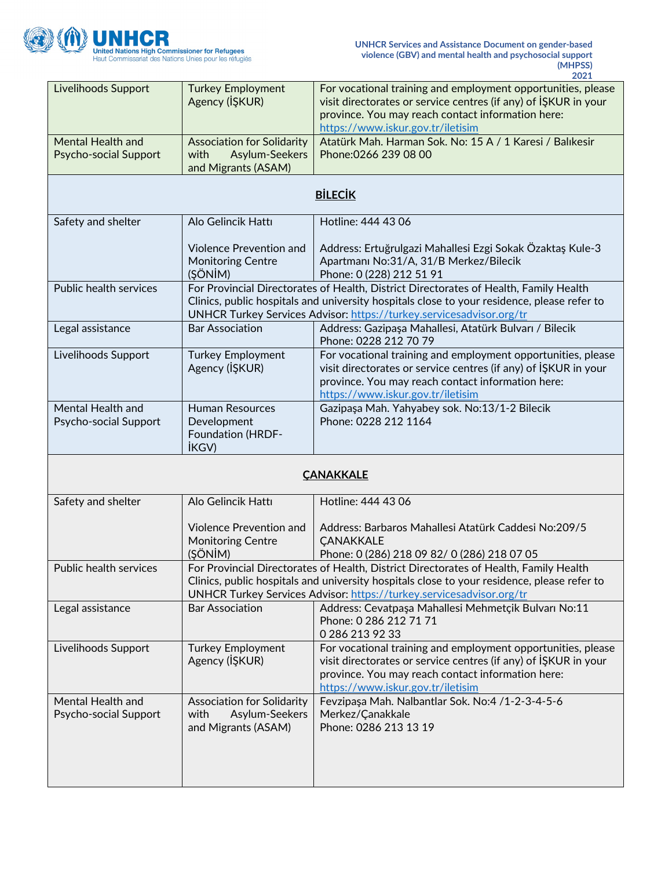

| Livelihoods Support                                      | <b>Turkey Employment</b><br>Agency (IŞKUR)                                                                                                                                                                                                                   | For vocational training and employment opportunities, please<br>visit directorates or service centres (if any) of ISKUR in your<br>province. You may reach contact information here:<br>https://www.iskur.gov.tr/iletisim                                    |  |
|----------------------------------------------------------|--------------------------------------------------------------------------------------------------------------------------------------------------------------------------------------------------------------------------------------------------------------|--------------------------------------------------------------------------------------------------------------------------------------------------------------------------------------------------------------------------------------------------------------|--|
| <b>Mental Health and</b><br><b>Psycho-social Support</b> | <b>Association for Solidarity</b><br>Asylum-Seekers<br>with<br>and Migrants (ASAM)                                                                                                                                                                           | Atatürk Mah. Harman Sok. No: 15 A / 1 Karesi / Balıkesir<br>Phone: 0266 239 08 00                                                                                                                                                                            |  |
|                                                          |                                                                                                                                                                                                                                                              | <b>BİLECİK</b>                                                                                                                                                                                                                                               |  |
| Safety and shelter                                       | Alo Gelincik Hattı                                                                                                                                                                                                                                           | Hotline: 444 43 06                                                                                                                                                                                                                                           |  |
|                                                          | <b>Violence Prevention and</b><br><b>Monitoring Centre</b><br>(ŞÖNİM)                                                                                                                                                                                        | Address: Ertuğrulgazi Mahallesi Ezgi Sokak Özaktaş Kule-3<br>Apartmanı No:31/A, 31/B Merkez/Bilecik<br>Phone: 0 (228) 212 51 91                                                                                                                              |  |
| Public health services                                   |                                                                                                                                                                                                                                                              | For Provincial Directorates of Health, District Directorates of Health, Family Health<br>Clinics, public hospitals and university hospitals close to your residence, please refer to<br>UNHCR Turkey Services Advisor: https://turkey.servicesadvisor.org/tr |  |
| Legal assistance                                         | <b>Bar Association</b>                                                                                                                                                                                                                                       | Address: Gazipaşa Mahallesi, Atatürk Bulvarı / Bilecik<br>Phone: 0228 212 70 79                                                                                                                                                                              |  |
| Livelihoods Support                                      | <b>Turkey Employment</b><br>Agency (IŞKUR)                                                                                                                                                                                                                   | For vocational training and employment opportunities, please<br>visit directorates or service centres (if any) of ISKUR in your<br>province. You may reach contact information here:<br>https://www.iskur.gov.tr/iletisim                                    |  |
| Mental Health and<br>Psycho-social Support               | <b>Human Resources</b><br>Development<br><b>Foundation (HRDF-</b><br><b>İKGV</b> )                                                                                                                                                                           | Gazipaşa Mah. Yahyabey sok. No:13/1-2 Bilecik<br>Phone: 0228 212 1164                                                                                                                                                                                        |  |
| <b>CANAKKALE</b>                                         |                                                                                                                                                                                                                                                              |                                                                                                                                                                                                                                                              |  |
| Safety and shelter                                       | Alo Gelincik Hattı                                                                                                                                                                                                                                           | Hotline: 444 43 06                                                                                                                                                                                                                                           |  |
|                                                          | Violence Prevention and<br><b>Monitoring Centre</b><br>(ŞÖNİM)                                                                                                                                                                                               | Address: Barbaros Mahallesi Atatürk Caddesi No:209/5<br><b>ÇANAKKALE</b><br>Phone: 0 (286) 218 09 82/ 0 (286) 218 07 05                                                                                                                                      |  |
| Public health services                                   | For Provincial Directorates of Health, District Directorates of Health, Family Health<br>Clinics, public hospitals and university hospitals close to your residence, please refer to<br>UNHCR Turkey Services Advisor: https://turkey.servicesadvisor.org/tr |                                                                                                                                                                                                                                                              |  |
| Legal assistance                                         | <b>Bar Association</b>                                                                                                                                                                                                                                       | Address: Cevatpaşa Mahallesi Mehmetçik Bulvarı No:11<br>Phone: 0 286 212 71 71<br>0 286 213 92 33                                                                                                                                                            |  |
| Livelihoods Support                                      | <b>Turkey Employment</b><br>Agency (IŞKUR)                                                                                                                                                                                                                   | For vocational training and employment opportunities, please<br>visit directorates or service centres (if any) of IŞKUR in your<br>province. You may reach contact information here:<br>https://www.iskur.gov.tr/iletisim                                    |  |
| Mental Health and<br>Psycho-social Support               | <b>Association for Solidarity</b><br>Asylum-Seekers<br>with<br>and Migrants (ASAM)                                                                                                                                                                           | Fevzipaşa Mah. Nalbantlar Sok. No:4 /1-2-3-4-5-6<br>Merkez/Çanakkale<br>Phone: 0286 213 13 19                                                                                                                                                                |  |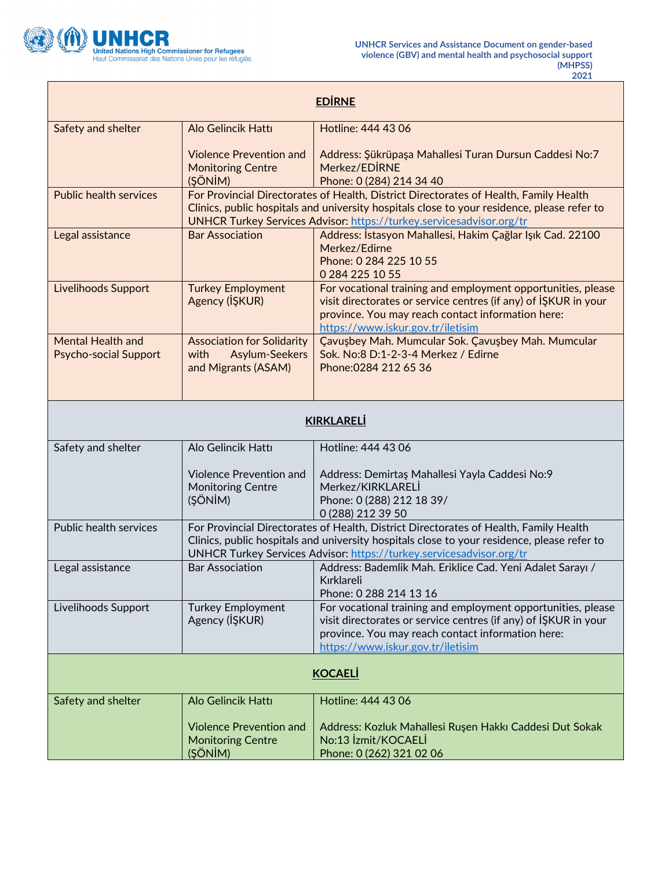

┓

| <b>EDIRNE</b>                                            |                                                                                                                                                                                                                                                                     |                                                                                                                                                                                                                           |
|----------------------------------------------------------|---------------------------------------------------------------------------------------------------------------------------------------------------------------------------------------------------------------------------------------------------------------------|---------------------------------------------------------------------------------------------------------------------------------------------------------------------------------------------------------------------------|
| Safety and shelter                                       | Alo Gelincik Hattı                                                                                                                                                                                                                                                  | Hotline: 444 43 06                                                                                                                                                                                                        |
|                                                          | <b>Violence Prevention and</b><br><b>Monitoring Centre</b><br>(ŞÖNİM)                                                                                                                                                                                               | Address: Şükrüpaşa Mahallesi Turan Dursun Caddesi No:7<br>Merkez/EDIRNE<br>Phone: 0 (284) 214 34 40                                                                                                                       |
| <b>Public health services</b>                            | For Provincial Directorates of Health, District Directorates of Health, Family Health<br>Clinics, public hospitals and university hospitals close to your residence, please refer to<br><b>UNHCR Turkey Services Advisor: https://turkey.servicesadvisor.org/tr</b> |                                                                                                                                                                                                                           |
| Legal assistance                                         | <b>Bar Association</b>                                                                                                                                                                                                                                              | Address: İstasyon Mahallesi, Hakim Çağlar Işık Cad. 22100<br>Merkez/Edirne<br>Phone: 0 284 225 10 55<br>0 284 225 10 55                                                                                                   |
| <b>Livelihoods Support</b>                               | <b>Turkey Employment</b><br>Agency (IŞKUR)                                                                                                                                                                                                                          | For vocational training and employment opportunities, please<br>visit directorates or service centres (if any) of ISKUR in your<br>province. You may reach contact information here:<br>https://www.iskur.gov.tr/iletisim |
| <b>Mental Health and</b><br><b>Psycho-social Support</b> | <b>Association for Solidarity</b><br><b>Asylum-Seekers</b><br>with<br>and Migrants (ASAM)                                                                                                                                                                           | Çavuşbey Mah. Mumcular Sok. Çavuşbey Mah. Mumcular<br>Sok. No:8 D:1-2-3-4 Merkez / Edirne<br>Phone: 0284 212 65 36                                                                                                        |
| <b>KIRKLARELİ</b>                                        |                                                                                                                                                                                                                                                                     |                                                                                                                                                                                                                           |
| Safety and shelter                                       | Alo Gelincik Hattı                                                                                                                                                                                                                                                  | Hotline: 444 43 06                                                                                                                                                                                                        |
|                                                          | <b>Violence Prevention and</b><br><b>Monitoring Centre</b><br>(ŞÖNİM)                                                                                                                                                                                               | Address: Demirtaş Mahallesi Yayla Caddesi No:9<br>Merkez/KIRKLARELI<br>Phone: 0 (288) 212 18 39/<br>0 (288) 212 39 50                                                                                                     |
| Public health services                                   | For Provincial Directorates of Health, District Directorates of Health, Family Health<br>Clinics, public hospitals and university hospitals close to your residence, please refer to<br>UNHCR Turkey Services Advisor: https://turkey.servicesadvisor.org/tr        |                                                                                                                                                                                                                           |
| Legal assistance                                         | <b>Bar Association</b>                                                                                                                                                                                                                                              | Address: Bademlik Mah. Eriklice Cad. Yeni Adalet Sarayı /<br>Kırklareli<br>Phone: 0 288 214 13 16                                                                                                                         |
| Livelihoods Support                                      | <b>Turkey Employment</b><br>Agency (IŞKUR)                                                                                                                                                                                                                          | For vocational training and employment opportunities, please<br>visit directorates or service centres (if any) of ISKUR in your<br>province. You may reach contact information here:<br>https://www.iskur.gov.tr/iletisim |
| <b>KOCAELI</b>                                           |                                                                                                                                                                                                                                                                     |                                                                                                                                                                                                                           |
| Safety and shelter                                       | Alo Gelincik Hattı                                                                                                                                                                                                                                                  | Hotline: 444 43 06                                                                                                                                                                                                        |
|                                                          | <b>Violence Prevention and</b><br><b>Monitoring Centre</b><br>(ŞÖNİM)                                                                                                                                                                                               | Address: Kozluk Mahallesi Ruşen Hakkı Caddesi Dut Sokak<br>No:13 Izmit/KOCAELI<br>Phone: 0 (262) 321 02 06                                                                                                                |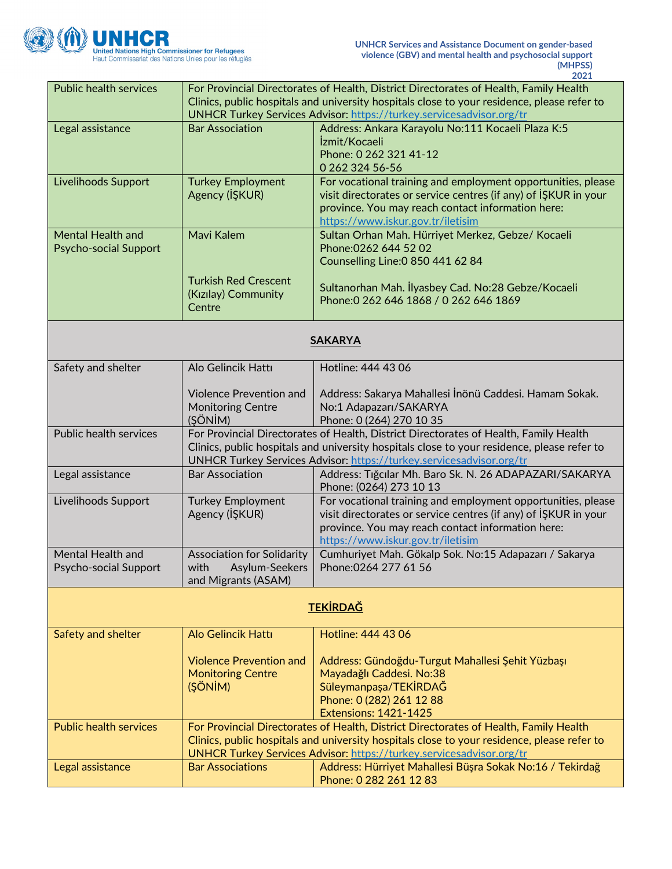

| <b>Public health services</b> | For Provincial Directorates of Health, District Directorates of Health, Family Health       |                                                                                                                      |  |
|-------------------------------|---------------------------------------------------------------------------------------------|----------------------------------------------------------------------------------------------------------------------|--|
|                               | Clinics, public hospitals and university hospitals close to your residence, please refer to |                                                                                                                      |  |
|                               | UNHCR Turkey Services Advisor: https://turkey.servicesadvisor.org/tr                        |                                                                                                                      |  |
| Legal assistance              | <b>Bar Association</b>                                                                      | Address: Ankara Karayolu No:111 Kocaeli Plaza K:5                                                                    |  |
|                               |                                                                                             | İzmit/Kocaeli                                                                                                        |  |
|                               |                                                                                             | Phone: 0 262 321 41-12                                                                                               |  |
|                               |                                                                                             | 0 262 324 56-56                                                                                                      |  |
| Livelihoods Support           | <b>Turkey Employment</b>                                                                    | For vocational training and employment opportunities, please                                                         |  |
|                               | Agency (IŞKUR)                                                                              | visit directorates or service centres (if any) of ISKUR in your<br>province. You may reach contact information here: |  |
|                               |                                                                                             | https://www.iskur.gov.tr/iletisim                                                                                    |  |
| <b>Mental Health and</b>      | Mavi Kalem                                                                                  | Sultan Orhan Mah. Hürriyet Merkez, Gebze/ Kocaeli                                                                    |  |
| <b>Psycho-social Support</b>  |                                                                                             | Phone: 0262 644 52 02                                                                                                |  |
|                               |                                                                                             | Counselling Line: 0 850 441 62 84                                                                                    |  |
|                               | <b>Turkish Red Crescent</b>                                                                 |                                                                                                                      |  |
|                               | (Kızılay) Community                                                                         | Sultanorhan Mah. İlyasbey Cad. No:28 Gebze/Kocaeli                                                                   |  |
|                               | Centre                                                                                      | Phone: 0 262 646 1868 / 0 262 646 1869                                                                               |  |
|                               |                                                                                             |                                                                                                                      |  |
|                               |                                                                                             |                                                                                                                      |  |
|                               |                                                                                             | <b>SAKARYA</b>                                                                                                       |  |
| Safety and shelter            | Alo Gelincik Hattı                                                                          | Hotline: 444 43 06                                                                                                   |  |
|                               |                                                                                             |                                                                                                                      |  |
|                               | <b>Violence Prevention and</b>                                                              | Address: Sakarya Mahallesi İnönü Caddesi. Hamam Sokak.                                                               |  |
|                               | <b>Monitoring Centre</b>                                                                    | No:1 Adapazarı/SAKARYA                                                                                               |  |
|                               | (ŞÖNİM)                                                                                     | Phone: 0 (264) 270 10 35                                                                                             |  |
| Public health services        |                                                                                             | For Provincial Directorates of Health, District Directorates of Health, Family Health                                |  |
|                               |                                                                                             | Clinics, public hospitals and university hospitals close to your residence, please refer to                          |  |
|                               |                                                                                             | UNHCR Turkey Services Advisor: https://turkey.servicesadvisor.org/tr                                                 |  |
| Legal assistance              | <b>Bar Association</b>                                                                      | Address: Tiğcilar Mh. Baro Sk. N. 26 ADAPAZARI/SAKARYA<br>Phone: (0264) 273 10 13                                    |  |
| Livelihoods Support           | <b>Turkey Employment</b>                                                                    | For vocational training and employment opportunities, please                                                         |  |
|                               | Agency (IŞKUR)                                                                              | visit directorates or service centres (if any) of ISKUR in your                                                      |  |
|                               |                                                                                             | province. You may reach contact information here:                                                                    |  |
|                               |                                                                                             | https://www.iskur.gov.tr/iletisim                                                                                    |  |
| Mental Health and             | <b>Association for Solidarity</b>                                                           | Cumhuriyet Mah. Gökalp Sok. No:15 Adapazarı / Sakarya                                                                |  |
| Psycho-social Support         | with<br>Asylum-Seekers                                                                      | Phone: 0264 277 61 56                                                                                                |  |
|                               | and Migrants (ASAM)                                                                         |                                                                                                                      |  |
| <b>TEKİRDAĞ</b>               |                                                                                             |                                                                                                                      |  |
| Safety and shelter            | <b>Alo Gelincik Hattı</b>                                                                   | Hotline: 444 43 06                                                                                                   |  |
|                               |                                                                                             |                                                                                                                      |  |
|                               | <b>Violence Prevention and</b>                                                              | Address: Gündoğdu-Turgut Mahallesi Şehit Yüzbaşı                                                                     |  |
|                               | <b>Monitoring Centre</b>                                                                    | Mayadağlı Caddesi. No:38                                                                                             |  |
|                               | (ŞÖNİM)                                                                                     | Süleymanpaşa/TEKİRDAĞ                                                                                                |  |
|                               |                                                                                             | Phone: 0 (282) 261 12 88                                                                                             |  |
|                               |                                                                                             | <b>Extensions: 1421-1425</b>                                                                                         |  |
| <b>Public health services</b> |                                                                                             | For Provincial Directorates of Health, District Directorates of Health, Family Health                                |  |
|                               |                                                                                             | Clinics, public hospitals and university hospitals close to your residence, please refer to                          |  |
|                               |                                                                                             | UNHCR Turkey Services Advisor: https://turkey.servicesadvisor.org/tr                                                 |  |
| Legal assistance              | <b>Bar Associations</b>                                                                     | Address: Hürriyet Mahallesi Büşra Sokak No:16 / Tekirdağ                                                             |  |